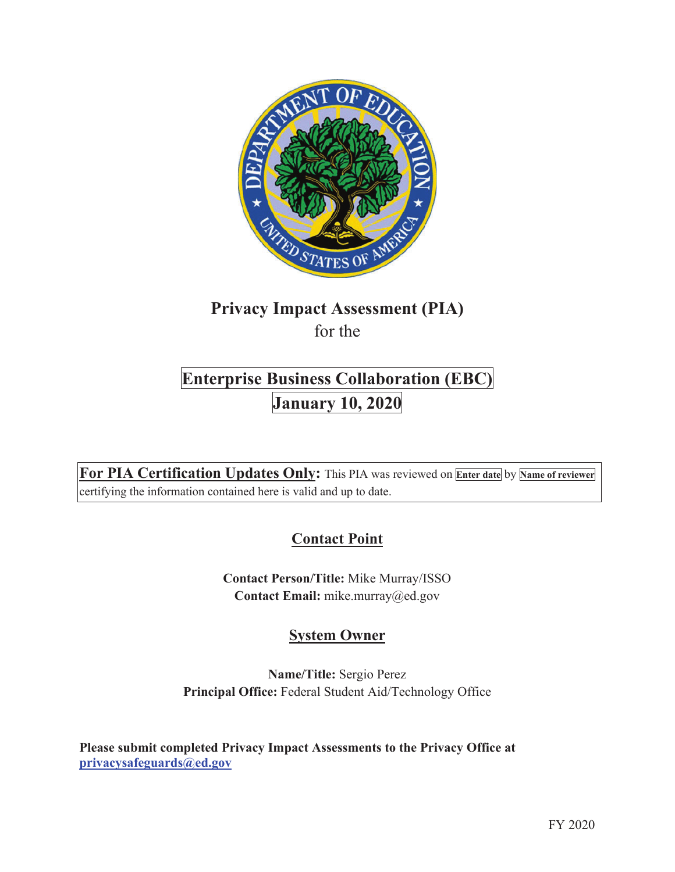

# **Privacy Impact Assessment (PIA)**  for the

# **Enterprise Business Collaboration (EBC) January 10, 2020**

**For PIA Certification Updates Only:** This PIA was reviewed on **Enter date** by **Name of reviewer** certifying the information contained here is valid and up to date.

# **Contact Point**

**Contact Person/Title:** Mike Murray/ISSO **Contact Email:** mike.murray@ed.gov

# **System Owner**

**Name/Title:** Sergio Perez **Principal Office:** Federal Student Aid/Technology Office

**Please submit completed Privacy Impact Assessments to the Privacy Office at privacysafeguards@ed.gov**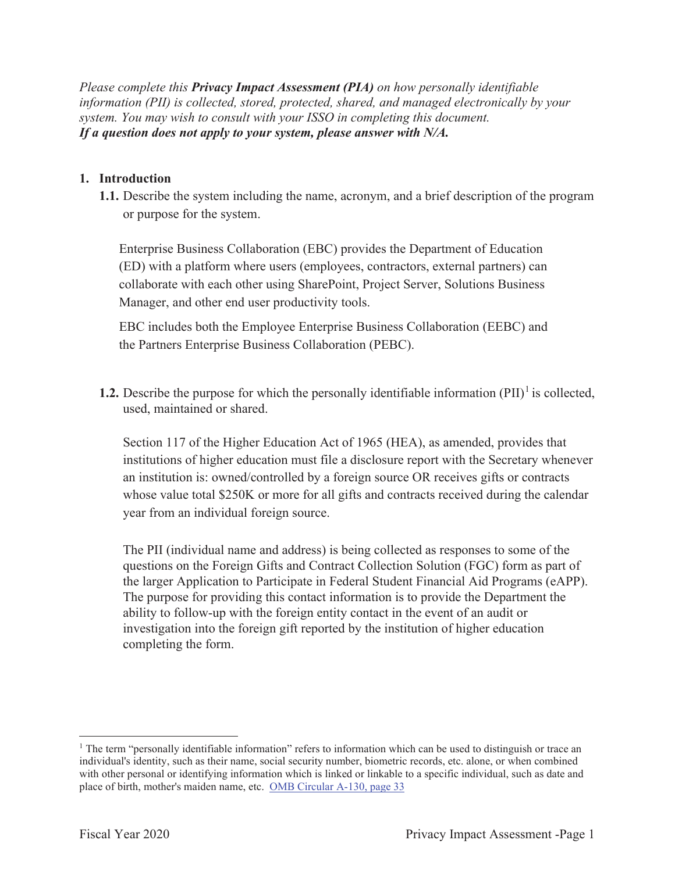*Please complete this Privacy Impact Assessment (PIA) on how personally identifiable information (PII) is collected, stored, protected, shared, and managed electronically by your system. You may wish to consult with your ISSO in completing this document. If a question does not apply to your system, please answer with N/A.*

#### **1. Introduction**

**1.1.** Describe the system including the name, acronym, and a brief description of the program or purpose for the system.

Enterprise Business Collaboration (EBC) provides the Department of Education (ED) with a platform where users (employees, contractors, external partners) can collaborate with each other using SharePoint, Project Server, Solutions Business Manager, and other end user productivity tools.

EBC includes both the Employee Enterprise Business Collaboration (EEBC) and the Partners Enterprise Business Collaboration (PEBC).

**1.2.** Describe the purpose for which the personally identifiable information  $(PII)^{1}$  is collected, used, maintained or shared.

Section 117 of the Higher Education Act of 1965 (HEA), as amended, provides that institutions of higher education must file a disclosure report with the Secretary whenever an institution is: owned/controlled by a foreign source OR receives gifts or contracts whose value total \$250K or more for all gifts and contracts received during the calendar year from an individual foreign source.

The PII (individual name and address) is being collected as responses to some of the questions on the Foreign Gifts and Contract Collection Solution (FGC) form as part of the larger Application to Participate in Federal Student Financial Aid Programs (eAPP). The purpose for providing this contact information is to provide the Department the ability to follow-up with the foreign entity contact in the event of an audit or investigation into the foreign gift reported by the institution of higher education completing the form.

<sup>&</sup>lt;sup>1</sup> The term "personally identifiable information" refers to information which can be used to distinguish or trace an individual's identity, such as their name, social security number, biometric records, etc. alone, or when combined with other personal or identifying information which is linked or linkable to a specific individual, such as date and place of birth, mother's maiden name, etc. OMB Circular A-130, page 33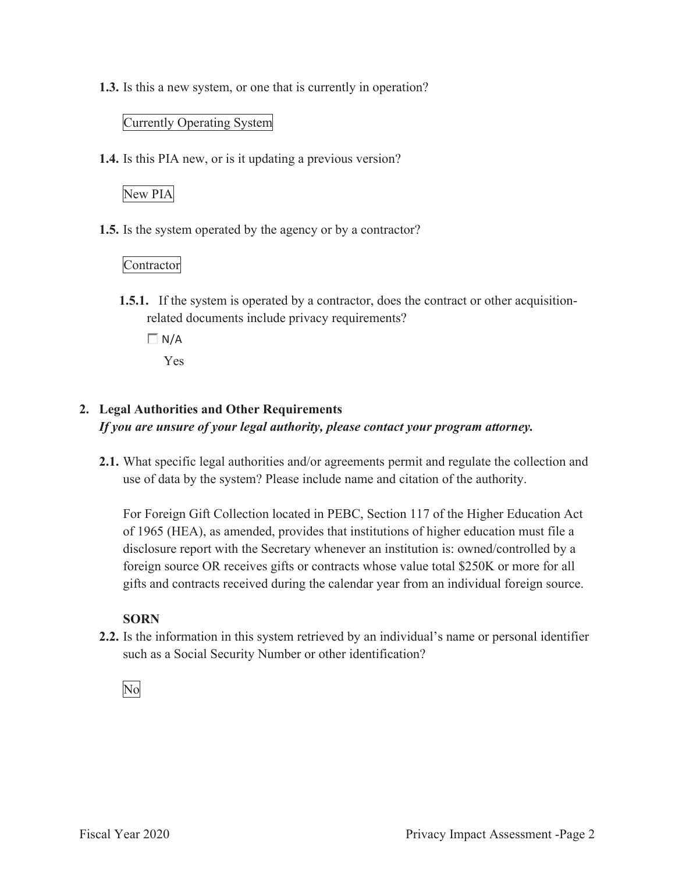**1.3.** Is this a new system, or one that is currently in operation?

#### Currently Operating System

**1.4.** Is this PIA new, or is it updating a previous version?

# New PIA

**1.5.** Is the system operated by the agency or by a contractor?

#### Contractor

- **1.5.1.** If the system is operated by a contractor, does the contract or other acquisitionrelated documents include privacy requirements?
	- $\Box N/A$

Yes

#### **2. Legal Authorities and Other Requirements**  *If you are unsure of your legal authority, please contact your program attorney.*

**2.1.** What specific legal authorities and/or agreements permit and regulate the collection and use of data by the system? Please include name and citation of the authority.

For Foreign Gift Collection located in PEBC, Section 117 of the Higher Education Act of 1965 (HEA), as amended, provides that institutions of higher education must file a disclosure report with the Secretary whenever an institution is: owned/controlled by a foreign source OR receives gifts or contracts whose value total \$250K or more for all gifts and contracts received during the calendar year from an individual foreign source.

## **SORN**

**2.2.** Is the information in this system retrieved by an individual's name or personal identifier such as a Social Security Number or other identification?

No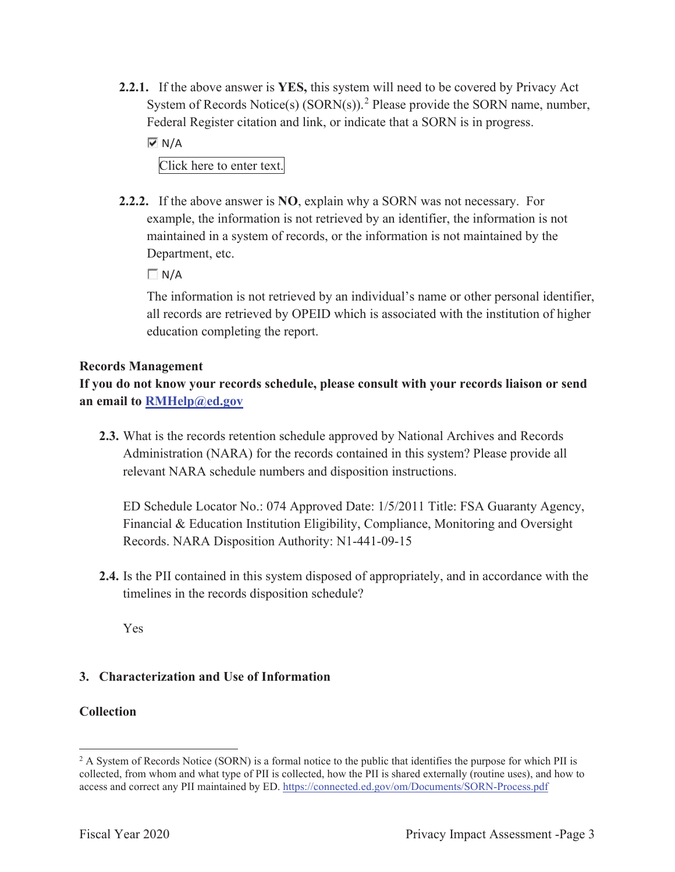**2.2.1.** If the above answer is **YES,** this system will need to be covered by Privacy Act System of Records Notice(s)  $(SORN(s))$ .<sup>2</sup> Please provide the SORN name, number, Federal Register citation and link, or indicate that a SORN is in progress.

 $\overline{M}$  N/A

Click here to enter text.

**2.2.2.** If the above answer is **NO**, explain why a SORN was not necessary. For example, the information is not retrieved by an identifier, the information is not maintained in a system of records, or the information is not maintained by the Department, etc.

 $\Box$  N/A

The information is not retrieved by an individual's name or other personal identifier, all records are retrieved by OPEID which is associated with the institution of higher education completing the report.

#### **Records Management**

**If you do not know your records schedule, please consult with your records liaison or send an email to RMHelp@ed.gov**

**2.3.** What is the records retention schedule approved by National Archives and Records Administration (NARA) for the records contained in this system? Please provide all relevant NARA schedule numbers and disposition instructions.

ED Schedule Locator No.: 074 Approved Date: 1/5/2011 Title: FSA Guaranty Agency, Financial & Education Institution Eligibility, Compliance, Monitoring and Oversight Records. NARA Disposition Authority: N1-441-09-15

**2.4.** Is the PII contained in this system disposed of appropriately, and in accordance with the timelines in the records disposition schedule?

Yes

#### **3. Characterization and Use of Information**

#### **Collection**

<sup>&</sup>lt;sup>2</sup> A System of Records Notice (SORN) is a formal notice to the public that identifies the purpose for which PII is collected, from whom and what type of PII is collected, how the PII is shared externally (routine uses), and how to access and correct any PII maintained by ED. https://connected.ed.gov/om/Documents/SORN-Process.pdf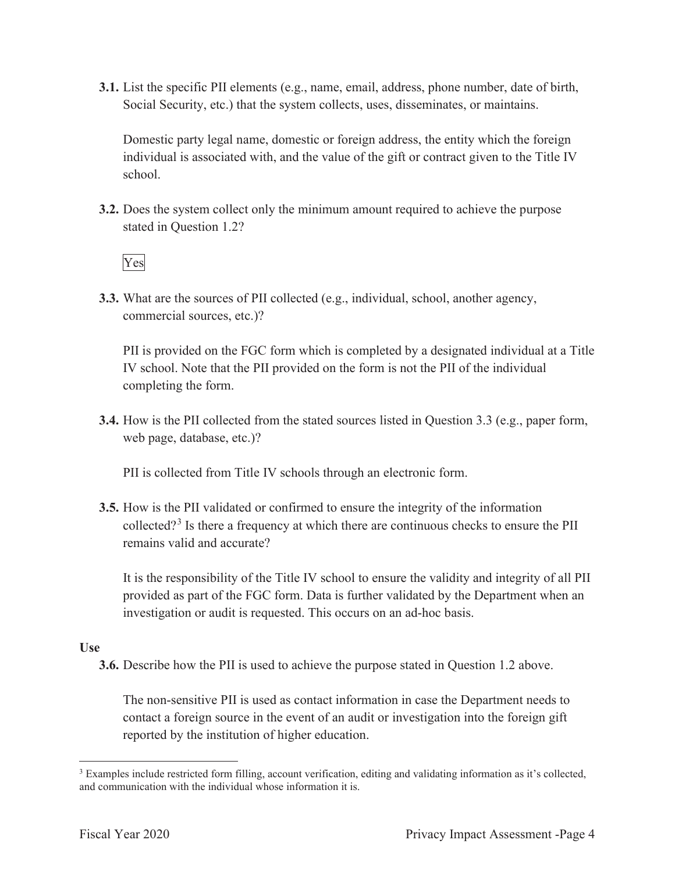**3.1.** List the specific PII elements (e.g., name, email, address, phone number, date of birth, Social Security, etc.) that the system collects, uses, disseminates, or maintains.

Domestic party legal name, domestic or foreign address, the entity which the foreign individual is associated with, and the value of the gift or contract given to the Title IV school.

**3.2.** Does the system collect only the minimum amount required to achieve the purpose stated in Question 1.2?

Yes

**3.3.** What are the sources of PII collected (e.g., individual, school, another agency, commercial sources, etc.)?

PII is provided on the FGC form which is completed by a designated individual at a Title IV school. Note that the PII provided on the form is not the PII of the individual completing the form.

**3.4.** How is the PII collected from the stated sources listed in Question 3.3 (e.g., paper form, web page, database, etc.)?

PII is collected from Title IV schools through an electronic form.

**3.5.** How is the PII validated or confirmed to ensure the integrity of the information collected?<sup>3</sup> Is there a frequency at which there are continuous checks to ensure the PII remains valid and accurate?

It is the responsibility of the Title IV school to ensure the validity and integrity of all PII provided as part of the FGC form. Data is further validated by the Department when an investigation or audit is requested. This occurs on an ad-hoc basis.

#### **Use**

**3.6.** Describe how the PII is used to achieve the purpose stated in Question 1.2 above.

The non-sensitive PII is used as contact information in case the Department needs to contact a foreign source in the event of an audit or investigation into the foreign gift reported by the institution of higher education.

<sup>&</sup>lt;sup>3</sup> Examples include restricted form filling, account verification, editing and validating information as it's collected, and communication with the individual whose information it is.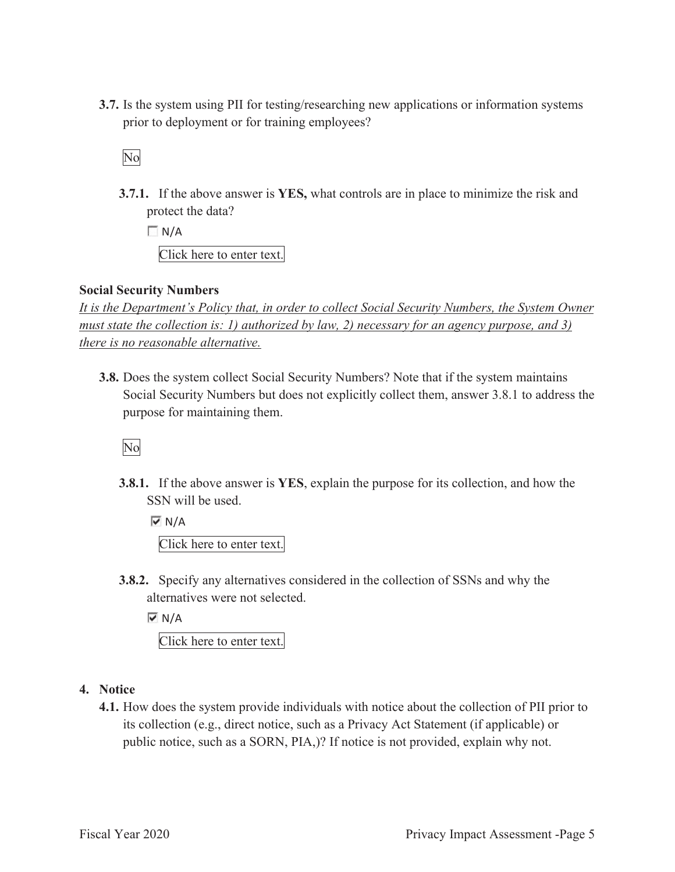**3.7.** Is the system using PII for testing/researching new applications or information systems prior to deployment or for training employees?

No

**3.7.1.** If the above answer is **YES,** what controls are in place to minimize the risk and protect the data?

 $\Box$  N/A Click here to enter text.

#### **Social Security Numbers**

*It is the Department's Policy that, in order to collect Social Security Numbers, the System Owner must state the collection is: 1) authorized by law, 2) necessary for an agency purpose, and 3) there is no reasonable alternative.* 

**3.8.** Does the system collect Social Security Numbers? Note that if the system maintains Social Security Numbers but does not explicitly collect them, answer 3.8.1 to address the purpose for maintaining them.

No

**3.8.1.** If the above answer is **YES**, explain the purpose for its collection, and how the SSN will be used.

 $\overline{M}$  N/A Click here to enter text.

**3.8.2.** Specify any alternatives considered in the collection of SSNs and why the alternatives were not selected.

 $\overline{M}$  N/A Click here to enter text.

#### **4. Notice**

**4.1.** How does the system provide individuals with notice about the collection of PII prior to its collection (e.g., direct notice, such as a Privacy Act Statement (if applicable) or public notice, such as a SORN, PIA,)? If notice is not provided, explain why not.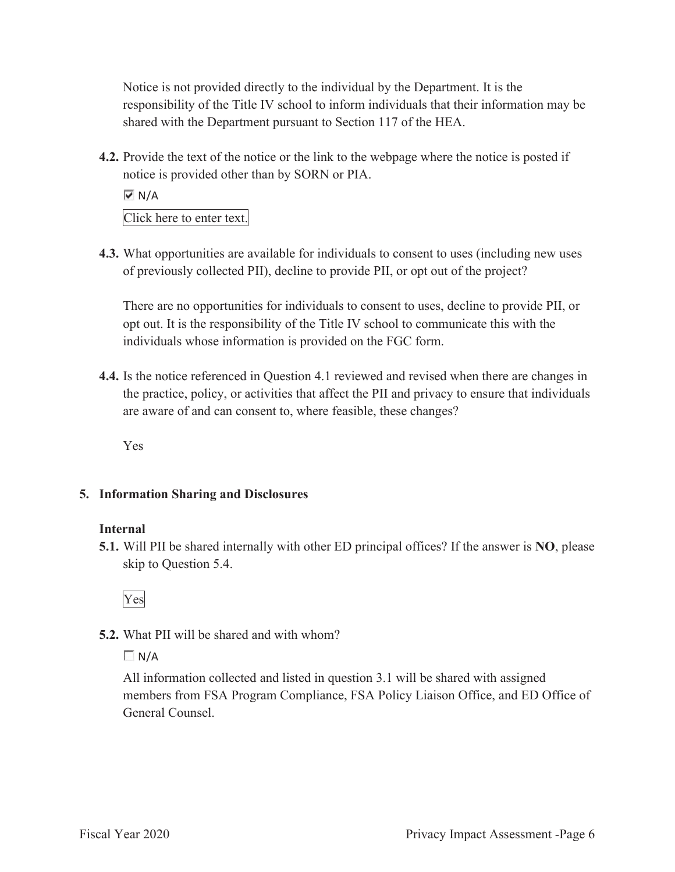Notice is not provided directly to the individual by the Department. It is the responsibility of the Title IV school to inform individuals that their information may be shared with the Department pursuant to Section 117 of the HEA.

**4.2.** Provide the text of the notice or the link to the webpage where the notice is posted if notice is provided other than by SORN or PIA.

 $\overline{M}$  N/A

Click here to enter text.

**4.3.** What opportunities are available for individuals to consent to uses (including new uses of previously collected PII), decline to provide PII, or opt out of the project?

There are no opportunities for individuals to consent to uses, decline to provide PII, or opt out. It is the responsibility of the Title IV school to communicate this with the individuals whose information is provided on the FGC form.

**4.4.** Is the notice referenced in Question 4.1 reviewed and revised when there are changes in the practice, policy, or activities that affect the PII and privacy to ensure that individuals are aware of and can consent to, where feasible, these changes?

Yes

## **5. Information Sharing and Disclosures**

#### **Internal**

**5.1.** Will PII be shared internally with other ED principal offices? If the answer is **NO**, please skip to Question 5.4.



# **5.2.** What PII will be shared and with whom?

 $\Box N/A$ 

All information collected and listed in question 3.1 will be shared with assigned members from FSA Program Compliance, FSA Policy Liaison Office, and ED Office of General Counsel.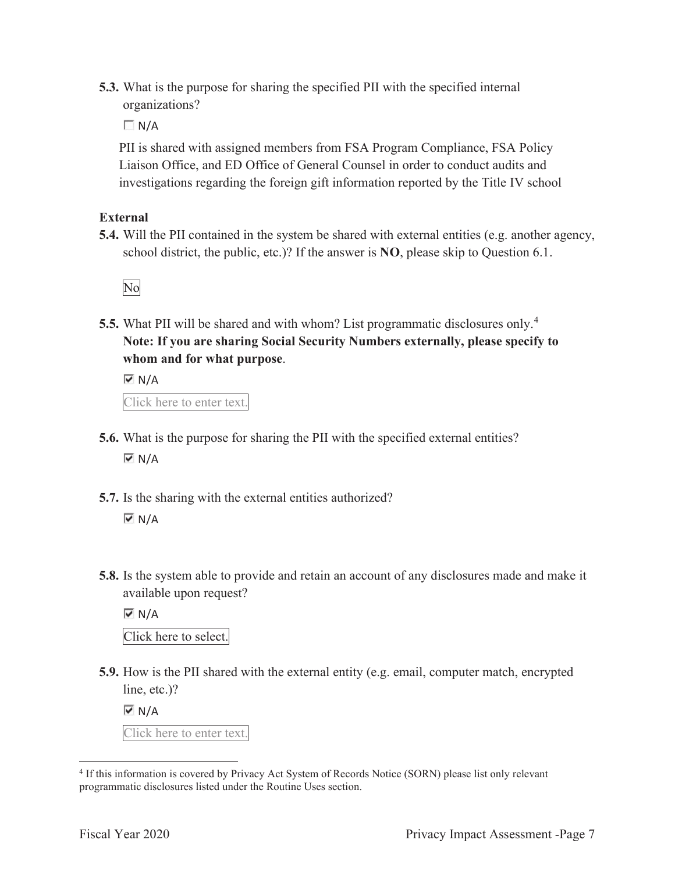**5.3.** What is the purpose for sharing the specified PII with the specified internal organizations?

 $\Box N/A$ 

PII is shared with assigned members from FSA Program Compliance, FSA Policy Liaison Office, and ED Office of General Counsel in order to conduct audits and investigations regarding the foreign gift information reported by the Title IV school

#### **External**

**5.4.** Will the PII contained in the system be shared with external entities (e.g. another agency, school district, the public, etc.)? If the answer is **NO**, please skip to Question 6.1.



**5.5.** What PII will be shared and with whom? List programmatic disclosures only.<sup>4</sup> **Note: If you are sharing Social Security Numbers externally, please specify to whom and for what purpose**.

 $\overline{M}$  N/A

Click here to enter text.

- **5.6.** What is the purpose for sharing the PII with the specified external entities?  $\overline{M}$  N/A
- **5.7.** Is the sharing with the external entities authorized?  $\overline{M}$  N/A
- **5.8.** Is the system able to provide and retain an account of any disclosures made and make it available upon request?

 $\overline{M}$  N/A

Click here to select.

**5.9.** How is the PII shared with the external entity (e.g. email, computer match, encrypted line, etc.)?

 $\overline{M}$  N/A

Click here to enter text.

<sup>4</sup> If this information is covered by Privacy Act System of Records Notice (SORN) please list only relevant programmatic disclosures listed under the Routine Uses section.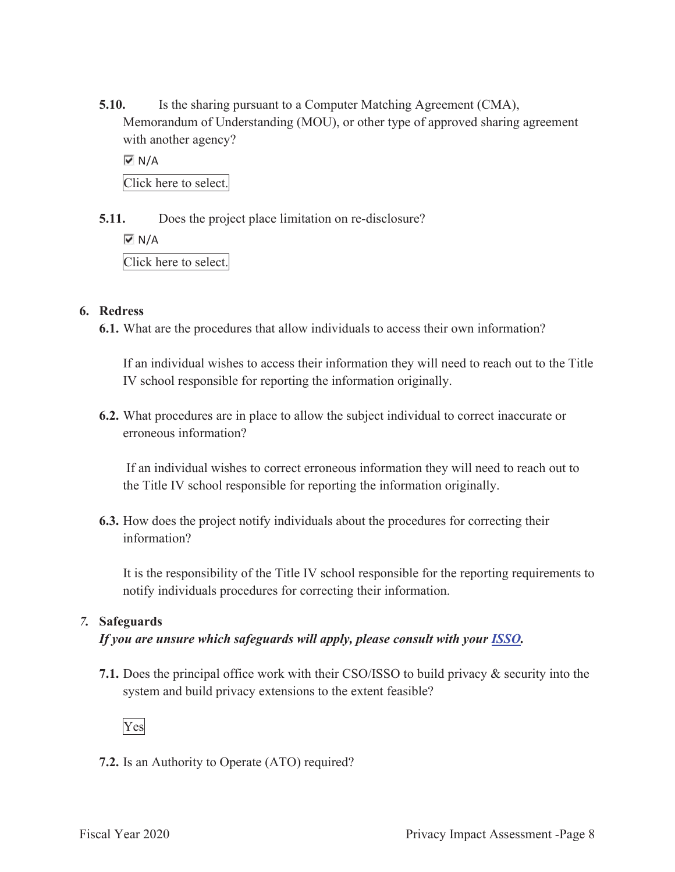**5.10.** Is the sharing pursuant to a Computer Matching Agreement (CMA), Memorandum of Understanding (MOU), or other type of approved sharing agreement with another agency?

 $\overline{M}$  N/A Click here to select.

**5.11.** Does the project place limitation on re-disclosure?

 $\overline{M}$  N/A

Click here to select.

#### **6. Redress**

**6.1.** What are the procedures that allow individuals to access their own information?

If an individual wishes to access their information they will need to reach out to the Title IV school responsible for reporting the information originally.

**6.2.** What procedures are in place to allow the subject individual to correct inaccurate or erroneous information?

 If an individual wishes to correct erroneous information they will need to reach out to the Title IV school responsible for reporting the information originally.

**6.3.** How does the project notify individuals about the procedures for correcting their information?

It is the responsibility of the Title IV school responsible for the reporting requirements to notify individuals procedures for correcting their information.

#### *7.* **Safeguards**

## *If you are unsure which safeguards will apply, please consult with your ISSO.*

**7.1.** Does the principal office work with their CSO/ISSO to build privacy & security into the system and build privacy extensions to the extent feasible?



**7.2.** Is an Authority to Operate (ATO) required?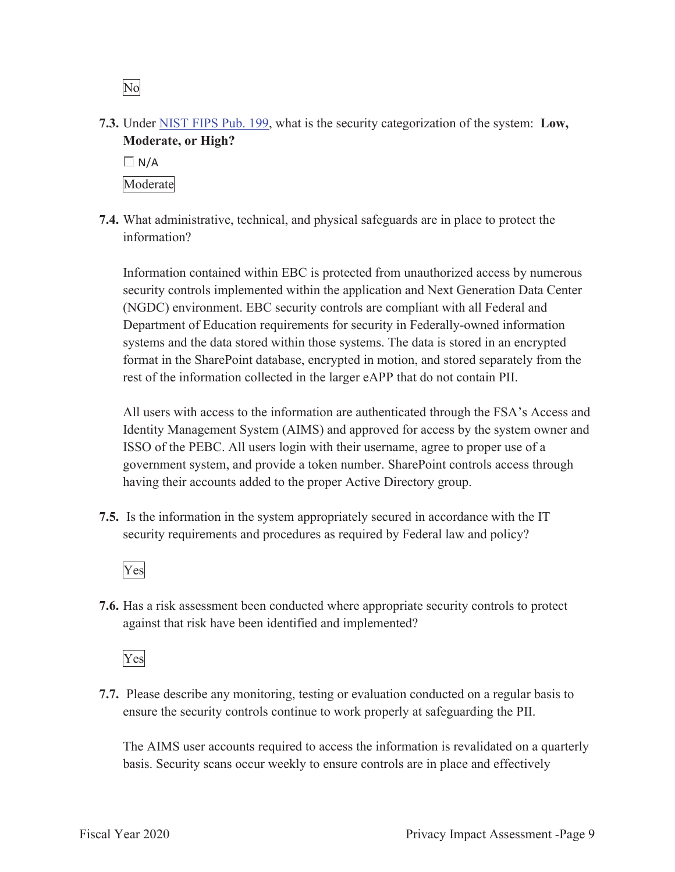**7.3.** Under NIST FIPS Pub. 199, what is the security categorization of the system: **Low, Moderate, or High?** 



**7.4.** What administrative, technical, and physical safeguards are in place to protect the information?

Information contained within EBC is protected from unauthorized access by numerous security controls implemented within the application and Next Generation Data Center (NGDC) environment. EBC security controls are compliant with all Federal and Department of Education requirements for security in Federally-owned information systems and the data stored within those systems. The data is stored in an encrypted format in the SharePoint database, encrypted in motion, and stored separately from the rest of the information collected in the larger eAPP that do not contain PII.

All users with access to the information are authenticated through the FSA's Access and Identity Management System (AIMS) and approved for access by the system owner and ISSO of the PEBC. All users login with their username, agree to proper use of a government system, and provide a token number. SharePoint controls access through having their accounts added to the proper Active Directory group.

**7.5.** Is the information in the system appropriately secured in accordance with the IT security requirements and procedures as required by Federal law and policy?

Yes

**7.6.** Has a risk assessment been conducted where appropriate security controls to protect against that risk have been identified and implemented?

Yes

**7.7.** Please describe any monitoring, testing or evaluation conducted on a regular basis to ensure the security controls continue to work properly at safeguarding the PII.

The AIMS user accounts required to access the information is revalidated on a quarterly basis. Security scans occur weekly to ensure controls are in place and effectively

No